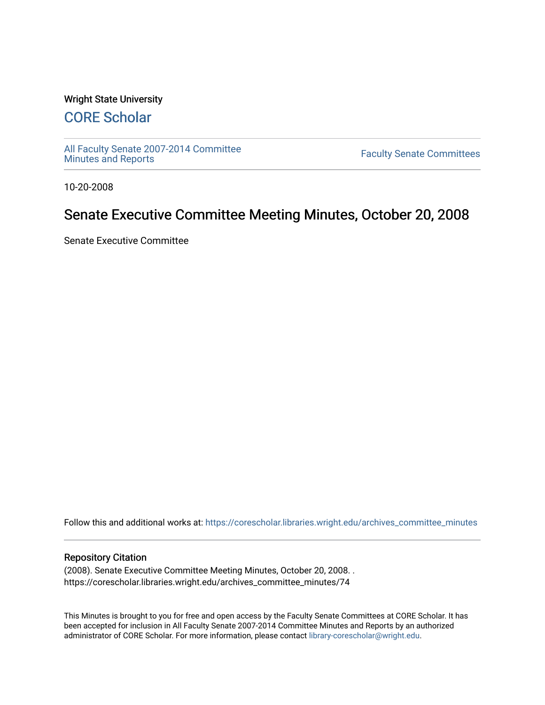#### Wright State University

# [CORE Scholar](https://corescholar.libraries.wright.edu/)

[All Faculty Senate 2007-2014 Committee](https://corescholar.libraries.wright.edu/archives_committee_minutes)

**Faculty Senate Committees** 

10-20-2008

# Senate Executive Committee Meeting Minutes, October 20, 2008

Senate Executive Committee

Follow this and additional works at: [https://corescholar.libraries.wright.edu/archives\\_committee\\_minutes](https://corescholar.libraries.wright.edu/archives_committee_minutes?utm_source=corescholar.libraries.wright.edu%2Farchives_committee_minutes%2F74&utm_medium=PDF&utm_campaign=PDFCoverPages) 

#### Repository Citation

(2008). Senate Executive Committee Meeting Minutes, October 20, 2008. . https://corescholar.libraries.wright.edu/archives\_committee\_minutes/74

This Minutes is brought to you for free and open access by the Faculty Senate Committees at CORE Scholar. It has been accepted for inclusion in All Faculty Senate 2007-2014 Committee Minutes and Reports by an authorized administrator of CORE Scholar. For more information, please contact [library-corescholar@wright.edu.](mailto:library-corescholar@wright.edu)